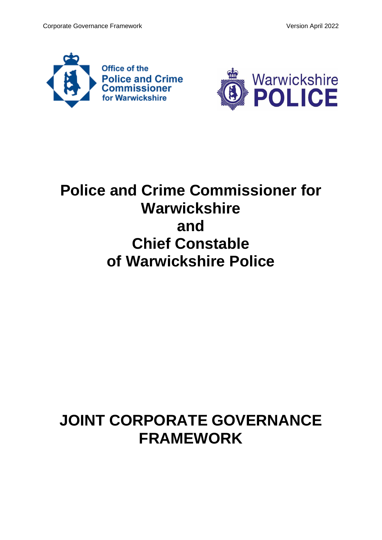



# **Police and Crime Commissioner for Warwickshire and Chief Constable of Warwickshire Police**

# **JOINT CORPORATE GOVERNANCE FRAMEWORK**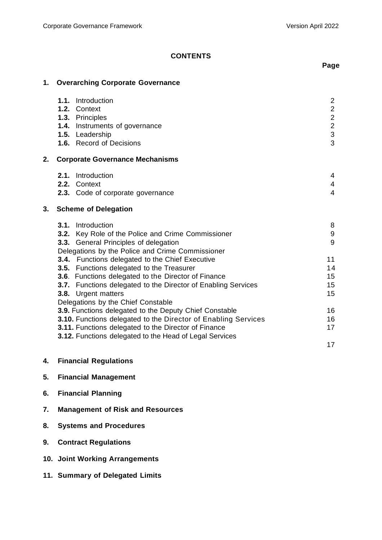# **CONTENTS**

# **1. Overarching Corporate Governance**

|    | Introduction<br>1.1.                                                 | $\overline{2}$          |
|----|----------------------------------------------------------------------|-------------------------|
|    | 1.2. Context                                                         | $\overline{\mathbf{c}}$ |
|    | 1.3. Principles                                                      | $\overline{c}$          |
|    | 1.4. Instruments of governance                                       | $\overline{2}$          |
|    | 1.5. Leadership                                                      | 3                       |
|    | <b>1.6.</b> Record of Decisions                                      | 3                       |
| 2. | <b>Corporate Governance Mechanisms</b>                               |                         |
|    | Introduction<br>2.1.                                                 | 4                       |
|    | 2.2. Context                                                         | $\overline{4}$          |
|    | 2.3. Code of corporate governance                                    | $\overline{4}$          |
| 3. | <b>Scheme of Delegation</b>                                          |                         |
|    | Introduction<br>3.1.                                                 | 8                       |
|    | 3.2. Key Role of the Police and Crime Commissioner                   | 9                       |
|    | 3.3. General Principles of delegation                                | 9                       |
|    | Delegations by the Police and Crime Commissioner                     |                         |
|    | 3.4. Functions delegated to the Chief Executive                      | 11                      |
|    | 3.5. Functions delegated to the Treasurer                            | 14                      |
|    | 3.6. Functions delegated to the Director of Finance                  | 15                      |
|    | <b>3.7.</b> Functions delegated to the Director of Enabling Services | 15                      |
|    | 3.8. Urgent matters                                                  | 15                      |
|    | Delegations by the Chief Canatable                                   |                         |

| Delegations by the Chief Constable                                    |    |
|-----------------------------------------------------------------------|----|
| 3.9. Functions delegated to the Deputy Chief Constable                | 16 |
| <b>3.10.</b> Functions delegated to the Director of Enabling Services | 16 |
| <b>3.11.</b> Functions delegated to the Director of Finance           | 17 |
| <b>3.12.</b> Functions delegated to the Head of Legal Services        |    |

**4. Financial Regulations**

# **5. Financial Management**

- **6. Financial Planning**
- **7. Management of Risk and Resources**
- **8. Systems and Procedures**
- **9. Contract Regulations**
- **10. Joint Working Arrangements**
- **11. Summary of Delegated Limits**

# **Page**

17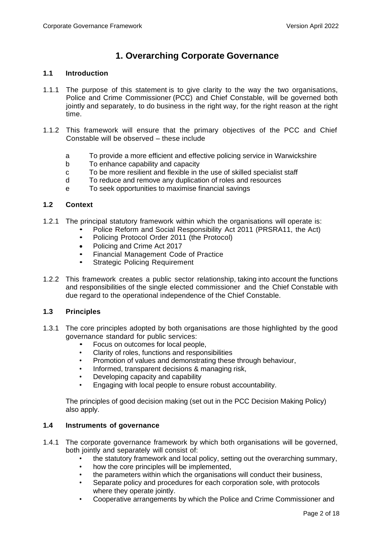# **1. Overarching Corporate Governance**

# **1.1 Introduction**

- 1.1.1 The purpose of this statement is to give clarity to the way the two organisations, Police and Crime Commissioner (PCC) and Chief Constable, will be governed both jointly and separately, to do business in the right way, for the right reason at the right time.
- 1.1.2 This framework will ensure that the primary objectives of the PCC and Chief Constable will be observed – these include
	- a To provide a more efficient and effective policing service in Warwickshire
	- b To enhance capability and capacity
	- c To be more resilient and flexible in the use of skilled specialist staff
	- d To reduce and remove any duplication of roles and resources
	- e To seek opportunities to maximise financial savings

# **1.2 Context**

- 1.2.1 The principal statutory framework within which the organisations will operate is:
	- Police Reform and Social Responsibility Act 2011 (PRSRA11, the Act)
	- Policing Protocol Order 2011 (the Protocol)
	- Policing and Crime Act 2017
	- Financial Management Code of Practice
	- Strategic Policing Requirement
- 1.2.2 This framework creates a public sector relationship, taking into account the functions and responsibilities of the single elected commissioner and the Chief Constable with due regard to the operational independence of the Chief Constable.

### **1.3 Principles**

- 1.3.1 The core principles adopted by both organisations are those highlighted by the good governance standard for public services:
	- Focus on outcomes for local people,
	- Clarity of roles, functions and responsibilities
	- Promotion of values and demonstrating these through behaviour,
	- Informed, transparent decisions & managing risk,
	- Developing capacity and capability
	- Engaging with local people to ensure robust accountability.

The principles of good decision making (set out in the PCC Decision Making Policy) also apply.

### **1.4 Instruments of governance**

- 1.4.1 The corporate governance framework by which both organisations will be governed, both jointly and separately will consist of:
	- the statutory framework and local policy, setting out the overarching summary,
	- how the core principles will be implemented,
	- the parameters within which the organisations will conduct their business,
	- Separate policy and procedures for each corporation sole, with protocols where they operate jointly.
	- Cooperative arrangements by which the Police and Crime Commissioner and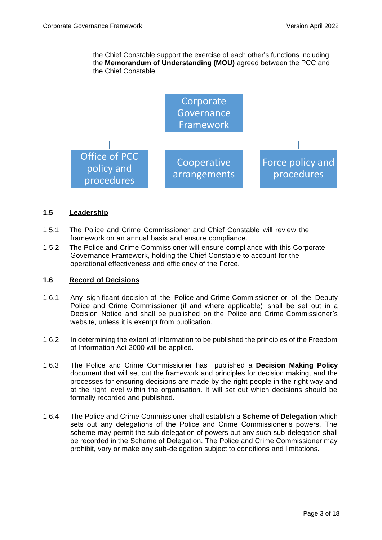the Chief Constable support the exercise of each other's functions including the **Memorandum of Understanding (MOU)** agreed between the PCC and the Chief Constable



# **1.5 Leadership**

- 1.5.1 The Police and Crime Commissioner and Chief Constable will review the framework on an annual basis and ensure compliance.
- 1.5.2 The Police and Crime Commissioner will ensure compliance with this Corporate Governance Framework, holding the Chief Constable to account for the operational effectiveness and efficiency of the Force.

## **1.6 Record of Decisions**

- 1.6.1 Any significant decision of the Police and Crime Commissioner or of the Deputy Police and Crime Commissioner (if and where applicable) shall be set out in a Decision Notice and shall be published on the Police and Crime Commissioner's website, unless it is exempt from publication.
- 1.6.2 In determining the extent of information to be published the principles of the Freedom of Information Act 2000 will be applied.
- 1.6.3 The Police and Crime Commissioner has published a **Decision Making Policy**  document that will set out the framework and principles for decision making, and the processes for ensuring decisions are made by the right people in the right way and at the right level within the organisation. It will set out which decisions should be formally recorded and published.
- 1.6.4 The Police and Crime Commissioner shall establish a **Scheme of Delegation** which sets out any delegations of the Police and Crime Commissioner's powers. The scheme may permit the sub-delegation of powers but any such sub-delegation shall be recorded in the Scheme of Delegation. The Police and Crime Commissioner may prohibit, vary or make any sub-delegation subject to conditions and limitations.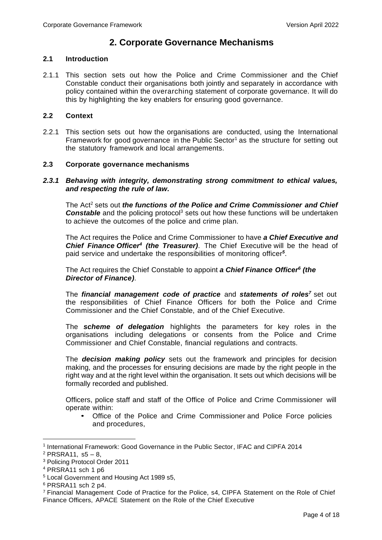# **2. Corporate Governance Mechanisms**

## **2.1 Introduction**

2.1.1 This section sets out how the Police and Crime Commissioner and the Chief Constable conduct their organisations both jointly and separately in accordance with policy contained within the overarching statement of corporate governance. It will do this by highlighting the key enablers for ensuring good governance.

# **2.2 Context**

2.2.1 This section sets out how the organisations are conducted, using the International Framework for good governance in the Public Sector<sup>1</sup> as the structure for setting out the statutory framework and local arrangements.

# **2.3 Corporate governance mechanisms**

## *2.3.1 Behaving with integrity, demonstrating strong commitment to ethical values, and respecting the rule of law.*

The Act<sup>2</sup> sets out *the functions of the Police and Crime Commissioner and Chief*  **Constable** and the policing protocol<sup>3</sup> sets out how these functions will be undertaken to achieve the outcomes of the police and crime plan.

The Act requires the Police and Crime Commissioner to have *a Chief Executive and*  **Chief Finance Officer<sup>4</sup> (the Treasurer)**. The Chief Executive will be the head of paid service and undertake the responsibilities of monitoring officer *5* .

The Act requires the Chief Constable to appoint *a Chief Finance Officer<sup>6</sup> (the Director of Finance)*.

The *financial management code of practice* and *statements of roles<sup>7</sup>* set out the responsibilities of Chief Finance Officers for both the Police and Crime Commissioner and the Chief Constable, and of the Chief Executive.

The *scheme of delegation* highlights the parameters for key roles in the organisations including delegations or consents from the Police and Crime Commissioner and Chief Constable, financial regulations and contracts.

The *decision making policy* sets out the framework and principles for decision making, and the processes for ensuring decisions are made by the right people in the right way and at the right level within the organisation. It sets out which decisions will be formally recorded and published.

Officers, police staff and staff of the Office of Police and Crime Commissioner will operate within:

• Office of the Police and Crime Commissioner and Police Force policies and procedures,

<sup>&</sup>lt;sup>1</sup> International Framework: Good Governance in the Public Sector, IFAC and CIPFA 2014

 $2$  PRSRA11, s5 – 8,

<sup>3</sup> Policing Protocol Order 2011

 $4$  PRSRA11 sch 1 p6

<sup>5</sup> Local Government and Housing Act 1989 s5,

<sup>6</sup> PRSRA11 sch 2 p4.

<sup>7</sup> Financial Management Code of Practice for the Police, s4, CIPFA Statement on the Role of Chief Finance Officers, APACE Statement on the Role of the Chief Executive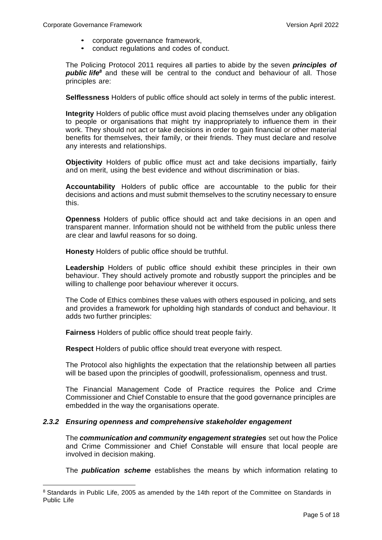- corporate governance framework,
- conduct regulations and codes of conduct.

The Policing Protocol 2011 requires all parties to abide by the seven *principles of public life<sup>8</sup>* and these will be central to the conduct and behaviour of all. Those principles are:

**Selflessness** Holders of public office should act solely in terms of the public interest.

**Integrity** Holders of public office must avoid placing themselves under any obligation to people or organisations that might try inappropriately to influence them in their work. They should not act or take decisions in order to gain financial or other material benefits for themselves, their family, or their friends. They must declare and resolve any interests and relationships.

**Objectivity** Holders of public office must act and take decisions impartially, fairly and on merit, using the best evidence and without discrimination or bias.

**Accountability** Holders of public office are accountable to the public for their decisions and actions and must submit themselves to the scrutiny necessary to ensure this.

**Openness** Holders of public office should act and take decisions in an open and transparent manner. Information should not be withheld from the public unless there are clear and lawful reasons for so doing.

**Honesty** Holders of public office should be truthful.

**Leadership** Holders of public office should exhibit these principles in their own behaviour. They should actively promote and robustly support the principles and be willing to challenge poor behaviour wherever it occurs.

The Code of Ethics combines these values with others espoused in policing, and sets and provides a framework for upholding high standards of conduct and behaviour. It adds two further principles:

**Fairness** Holders of public office should treat people fairly.

**Respect** Holders of public office should treat everyone with respect.

The Protocol also highlights the expectation that the relationship between all parties will be based upon the principles of goodwill, professionalism, openness and trust.

The Financial Management Code of Practice requires the Police and Crime Commissioner and Chief Constable to ensure that the good governance principles are embedded in the way the organisations operate.

# *2.3.2 Ensuring openness and comprehensive stakeholder engagement*

The *communication and community engagement strategies* set out how the Police and Crime Commissioner and Chief Constable will ensure that local people are involved in decision making.

The *publication scheme* establishes the means by which information relating to

<sup>&</sup>lt;sup>8</sup> Standards in Public Life, 2005 as amended by the 14th report of the Committee on Standards in Public Life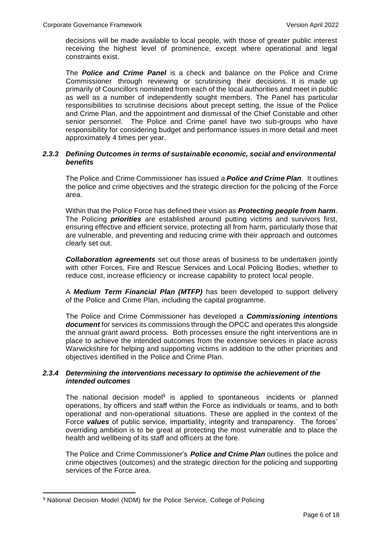decisions will be made available to local people, with those of greater public interest receiving the highest level of prominence, except where operational and legal constraints exist.

The *Police and Crime Panel* is a check and balance on the Police and Crime Commissioner through reviewing or scrutinising their decisions. It is made up primarily of Councillors nominated from each of the local authorities and meet in public as well as a number of independently sought members. The Panel has particular responsibilities to scrutinise decisions about precept setting, the issue of the Police and Crime Plan, and the appointment and dismissal of the Chief Constable and other senior personnel. The Police and Crime panel have two sub-groups who have responsibility for considering budget and performance issues in more detail and meet approximately 4 times per year.

# *2.3.3 Defining Outcomes in terms of sustainable economic, social and environmental benefits*

The Police and Crime Commissioner has issued *a Police and Crime Plan*. It outlines the police and crime objectives and the strategic direction for the policing of the Force area.

Within that the Police Force has defined their vision as *Protecting people from harm*. The Policing *priorities* are established around putting victims and survivors first, ensuring effective and efficient service, protecting all from harm, particularly those that are vulnerable, and preventing and reducing crime with their approach and outcomes clearly set out.

*Collaboration agreements* set out those areas of business to be undertaken jointly with other Forces, Fire and Rescue Services and Local Policing Bodies, whether to reduce cost, increase efficiency or increase capability to protect local people.

A *Medium Term Financial Plan (MTFP)* has been developed to support delivery of the Police and Crime Plan, including the capital programme.

The Police and Crime Commissioner has developed a *Commissioning intentions document* for services its commissions through the OPCC and operates this alongside the annual grant award process. Both processes ensure the right interventions are in place to achieve the intended outcomes from the extensive services in place across Warwickshire for helping and supporting victims in addition to the other priorities and objectives identified in the Police and Crime Plan.

# *2.3.4 Determining the interventions necessary to optimise the achievement of the intended outcomes*

The national decision model<sup>9</sup> is applied to spontaneous incidents or planned operations, by officers and staff within the Force as individuals or teams, and to both operational and non-operational situations. These are applied in the context of the Force *values* of public service, impartiality, integrity and transparency. The forces' overriding ambition is to be great at protecting the most vulnerable and to place the health and wellbeing of its staff and officers at the fore.

The Police and Crime Commissioner's *Police and Crime Plan* outlines the police and crime objectives (outcomes) and the strategic direction for the policing and supporting services of the Force area.

<sup>9</sup> National Decision Model (NDM) for the Police Service, College of Policing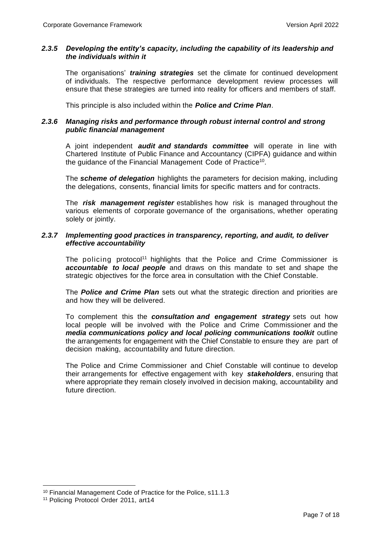# *2.3.5 Developing the entity's capacity, including the capability of its leadership and the individuals within it*

The organisations' *training strategies* set the climate for continued development of individuals. The respective performance development review processes will ensure that these strategies are turned into reality for officers and members of staff.

This principle is also included within the *Police and Crime Plan*.

# *2.3.6 Managing risks and performance through robust internal control and strong public financial management*

A joint independent *audit and standards committee* will operate in line with Chartered Institute of Public Finance and Accountancy (CIPFA) guidance and within the guidance of the Financial Management Code of Practice $^{10}$ .

The *scheme of delegation* highlights the parameters for decision making, including the delegations, consents, financial limits for specific matters and for contracts.

The *risk management register* establishes how risk is managed throughout the various elements of corporate governance of the organisations, whether operating solely or jointly.

## *2.3.7 Implementing good practices in transparency, reporting, and audit, to deliver effective accountability*

The policing protocol<sup>11</sup> highlights that the Police and Crime Commissioner is *accountable to local people* and draws on this mandate to set and shape the strategic objectives for the force area in consultation with the Chief Constable.

The *Police and Crime Plan* sets out what the strategic direction and priorities are and how they will be delivered.

To complement this the *consultation and engagement strategy* sets out how local people will be involved with the Police and Crime Commissioner and the *media communications policy and local policing communications toolkit* outline the arrangements for engagement with the Chief Constable to ensure they are part of decision making, accountability and future direction.

The Police and Crime Commissioner and Chief Constable will continue to develop their arrangements for effective engagement with key *stakeholders*, ensuring that where appropriate they remain closely involved in decision making, accountability and future direction.

<sup>10</sup> Financial Management Code of Practice for the Police, s11.1.3

<sup>11</sup> Policing Protocol Order 2011, art14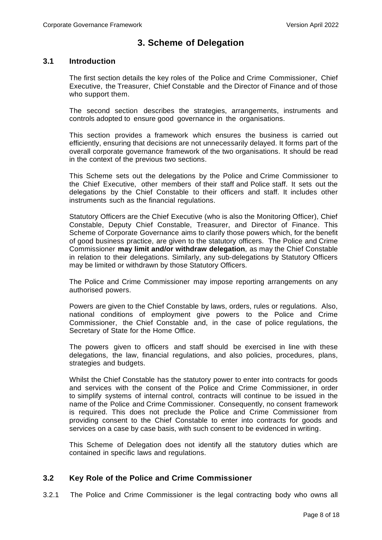# **3. Scheme of Delegation**

# **3.1 Introduction**

The first section details the key roles of the Police and Crime Commissioner, Chief Executive, the Treasurer, Chief Constable and the Director of Finance and of those who support them.

The second section describes the strategies, arrangements, instruments and controls adopted to ensure good governance in the organisations.

This section provides a framework which ensures the business is carried out efficiently, ensuring that decisions are not unnecessarily delayed. It forms part of the overall corporate governance framework of the two organisations. It should be read in the context of the previous two sections.

This Scheme sets out the delegations by the Police and Crime Commissioner to the Chief Executive, other members of their staff and Police staff. It sets out the delegations by the Chief Constable to their officers and staff. It includes other instruments such as the financial regulations.

Statutory Officers are the Chief Executive (who is also the Monitoring Officer), Chief Constable, Deputy Chief Constable, Treasurer, and Director of Finance. This Scheme of Corporate Governance aims to clarify those powers which, for the benefit of good business practice, are given to the statutory officers. The Police and Crime Commissioner **may limit and/or withdraw delegation**, as may the Chief Constable in relation to their delegations. Similarly, any sub-delegations by Statutory Officers may be limited or withdrawn by those Statutory Officers.

The Police and Crime Commissioner may impose reporting arrangements on any authorised powers.

Powers are given to the Chief Constable by laws, orders, rules or regulations. Also, national conditions of employment give powers to the Police and Crime Commissioner, the Chief Constable and, in the case of police regulations, the Secretary of State for the Home Office.

The powers given to officers and staff should be exercised in line with these delegations, the law, financial regulations, and also policies, procedures, plans, strategies and budgets.

Whilst the Chief Constable has the statutory power to enter into contracts for goods and services with the consent of the Police and Crime Commissioner, in order to simplify systems of internal control, contracts will continue to be issued in the name of the Police and Crime Commissioner. Consequently, no consent framework is required. This does not preclude the Police and Crime Commissioner from providing consent to the Chief Constable to enter into contracts for goods and services on a case by case basis, with such consent to be evidenced in writing.

This Scheme of Delegation does not identify all the statutory duties which are contained in specific laws and regulations.

# **3.2 Key Role of the Police and Crime Commissioner**

3.2.1 The Police and Crime Commissioner is the legal contracting body who owns all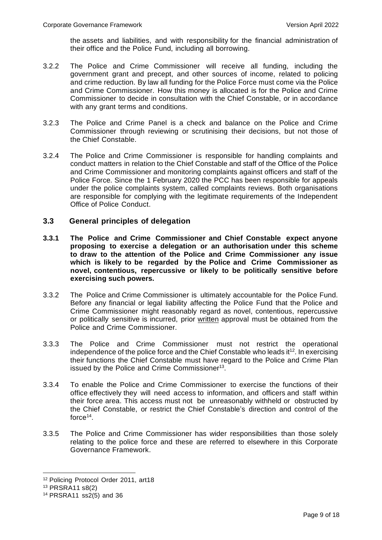the assets and liabilities, and with responsibility for the financial administration of their office and the Police Fund, including all borrowing.

- 3.2.2 The Police and Crime Commissioner will receive all funding, including the government grant and precept, and other sources of income, related to policing and crime reduction. By law all funding for the Police Force must come via the Police and Crime Commissioner. How this money is allocated is for the Police and Crime Commissioner to decide in consultation with the Chief Constable, or in accordance with any grant terms and conditions.
- 3.2.3 The Police and Crime Panel is a check and balance on the Police and Crime Commissioner through reviewing or scrutinising their decisions, but not those of the Chief Constable.
- 3.2.4 The Police and Crime Commissioner is responsible for handling complaints and conduct matters in relation to the Chief Constable and staff of the Office of the Police and Crime Commissioner and monitoring complaints against officers and staff of the Police Force. Since the 1 February 2020 the PCC has been responsible for appeals under the police complaints system, called complaints reviews. Both organisations are responsible for complying with the legitimate requirements of the Independent Office of Police Conduct.

# **3.3 General principles of delegation**

- **3.3.1 The Police and Crime Commissioner and Chief Constable expect anyone proposing to exercise a delegation or an authorisation under this scheme to draw to the attention of the Police and Crime Commissioner any issue which is likely to be regarded by the Police and Crime Commissioner as novel, contentious, repercussive or likely to be politically sensitive before exercising such powers.**
- 3.3.2 The Police and Crime Commissioner is ultimately accountable for the Police Fund. Before any financial or legal liability affecting the Police Fund that the Police and Crime Commissioner might reasonably regard as novel, contentious, repercussive or politically sensitive is incurred, prior written approval must be obtained from the Police and Crime Commissioner.
- 3.3.3 The Police and Crime Commissioner must not restrict the operational independence of the police force and the Chief Constable who leads it $^{12}$ . In exercising their functions the Chief Constable must have regard to the Police and Crime Plan issued by the Police and Crime Commissioner<sup>13</sup>.
- 3.3.4 To enable the Police and Crime Commissioner to exercise the functions of their office effectively they will need access to information, and officers and staff within their force area. This access must not be unreasonably withheld or obstructed by the Chief Constable, or restrict the Chief Constable's direction and control of the force 14 .
- 3.3.5 The Police and Crime Commissioner has wider responsibilities than those solely relating to the police force and these are referred to elsewhere in this Corporate Governance Framework.

<sup>12</sup> Policing Protocol Order 2011, art18

<sup>13</sup> PRSRA11 s8(2)

<sup>14</sup> PRSRA11 ss2(5) and 36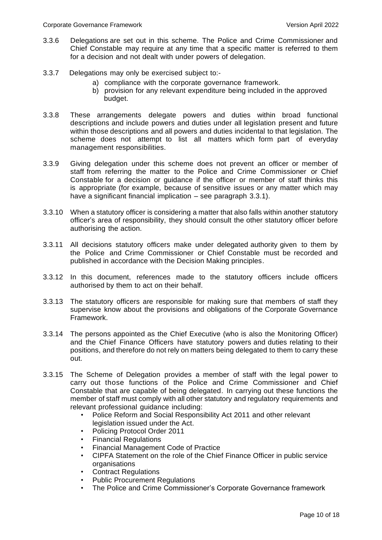- 3.3.6 Delegations are set out in this scheme. The Police and Crime Commissioner and Chief Constable may require at any time that a specific matter is referred to them for a decision and not dealt with under powers of delegation.
- 3.3.7 Delegations may only be exercised subject to:
	- a) compliance with the corporate governance framework.
	- b) provision for any relevant expenditure being included in the approved budget.
- 3.3.8 These arrangements delegate powers and duties within broad functional descriptions and include powers and duties under all legislation present and future within those descriptions and all powers and duties incidental to that legislation. The scheme does not attempt to list all matters which form part of everyday management responsibilities.
- 3.3.9 Giving delegation under this scheme does not prevent an officer or member of staff from referring the matter to the Police and Crime Commissioner or Chief Constable for a decision or guidance if the officer or member of staff thinks this is appropriate (for example, because of sensitive issues or any matter which may have a significant financial implication – see paragraph 3.3.1).
- 3.3.10 When a statutory officer is considering a matter that also falls within another statutory officer's area of responsibility, they should consult the other statutory officer before authorising the action.
- 3.3.11 All decisions statutory officers make under delegated authority given to them by the Police and Crime Commissioner or Chief Constable must be recorded and published in accordance with the Decision Making principles.
- 3.3.12 In this document, references made to the statutory officers include officers authorised by them to act on their behalf.
- 3.3.13 The statutory officers are responsible for making sure that members of staff they supervise know about the provisions and obligations of the Corporate Governance Framework.
- 3.3.14 The persons appointed as the Chief Executive (who is also the Monitoring Officer) and the Chief Finance Officers have statutory powers and duties relating to their positions, and therefore do not rely on matters being delegated to them to carry these out.
- 3.3.15 The Scheme of Delegation provides a member of staff with the legal power to carry out those functions of the Police and Crime Commissioner and Chief Constable that are capable of being delegated. In carrying out these functions the member of staff must comply with all other statutory and regulatory requirements and relevant professional guidance including:
	- Police Reform and Social Responsibility Act 2011 and other relevant legislation issued under the Act.
	- Policing Protocol Order 2011
	- Financial Regulations
	- Financial Management Code of Practice
	- CIPFA Statement on the role of the Chief Finance Officer in public service organisations
	- Contract Regulations
	- Public Procurement Regulations
	- The Police and Crime Commissioner's Corporate Governance framework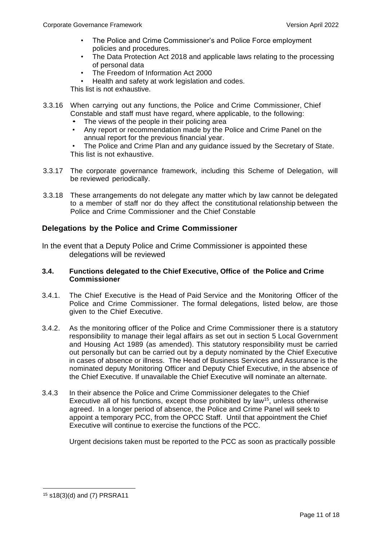- The Police and Crime Commissioner's and Police Force employment policies and procedures.
- The Data Protection Act 2018 and applicable laws relating to the processing of personal data
- The Freedom of Information Act 2000
- Health and safety at work legislation and codes.

This list is not exhaustive.

- 3.3.16 When carrying out any functions, the Police and Crime Commissioner, Chief Constable and staff must have regard, where applicable, to the following:
	- The views of the people in their policing area
	- Any report or recommendation made by the Police and Crime Panel on the annual report for the previous financial year.

• The Police and Crime Plan and any guidance issued by the Secretary of State. This list is not exhaustive.

- 3.3.17 The corporate governance framework, including this Scheme of Delegation, will be reviewed periodically.
- 3.3.18 These arrangements do not delegate any matter which by law cannot be delegated to a member of staff nor do they affect the constitutional relationship between the Police and Crime Commissioner and the Chief Constable

# **Delegations by the Police and Crime Commissioner**

In the event that a Deputy Police and Crime Commissioner is appointed these delegations will be reviewed

# **3.4. Functions delegated to the Chief Executive, Office of the Police and Crime Commissioner**

- 3.4.1. The Chief Executive is the Head of Paid Service and the Monitoring Officer of the Police and Crime Commissioner. The formal delegations, listed below, are those given to the Chief Executive.
- 3.4.2. As the monitoring officer of the Police and Crime Commissioner there is a statutory responsibility to manage their legal affairs as set out in section 5 Local Government and Housing Act 1989 (as amended). This statutory responsibility must be carried out personally but can be carried out by a deputy nominated by the Chief Executive in cases of absence or illness. The Head of Business Services and Assurance is the nominated deputy Monitoring Officer and Deputy Chief Executive, in the absence of the Chief Executive. If unavailable the Chief Executive will nominate an alternate.
- 3.4.3 In their absence the Police and Crime Commissioner delegates to the Chief Executive all of his functions, except those prohibited by law<sup>15</sup>, unless otherwise agreed. In a longer period of absence, the Police and Crime Panel will seek to appoint a temporary PCC, from the OPCC Staff. Until that appointment the Chief Executive will continue to exercise the functions of the PCC.

Urgent decisions taken must be reported to the PCC as soon as practically possible

<sup>15</sup> s18(3)(d) and (7) PRSRA11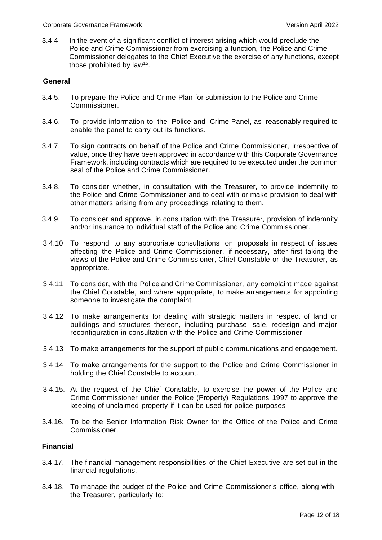3.4.4 In the event of a significant conflict of interest arising which would preclude the Police and Crime Commissioner from exercising a function, the Police and Crime Commissioner delegates to the Chief Executive the exercise of any functions, except those prohibited by law<sup>15</sup> .

# **General**

- 3.4.5. To prepare the Police and Crime Plan for submission to the Police and Crime Commissioner.
- 3.4.6. To provide information to the Police and Crime Panel, as reasonably required to enable the panel to carry out its functions.
- 3.4.7. To sign contracts on behalf of the Police and Crime Commissioner, irrespective of value, once they have been approved in accordance with this Corporate Governance Framework, including contracts which are required to be executed under the common seal of the Police and Crime Commissioner.
- 3.4.8. To consider whether, in consultation with the Treasurer, to provide indemnity to the Police and Crime Commissioner and to deal with or make provision to deal with other matters arising from any proceedings relating to them.
- 3.4.9. To consider and approve, in consultation with the Treasurer, provision of indemnity and/or insurance to individual staff of the Police and Crime Commissioner.
- 3.4.10 To respond to any appropriate consultations on proposals in respect of issues affecting the Police and Crime Commissioner, if necessary, after first taking the views of the Police and Crime Commissioner, Chief Constable or the Treasurer, as appropriate.
- 3.4.11 To consider, with the Police and Crime Commissioner, any complaint made against the Chief Constable, and where appropriate, to make arrangements for appointing someone to investigate the complaint.
- 3.4.12 To make arrangements for dealing with strategic matters in respect of land or buildings and structures thereon, including purchase, sale, redesign and major reconfiguration in consultation with the Police and Crime Commissioner.
- 3.4.13 To make arrangements for the support of public communications and engagement.
- 3.4.14 To make arrangements for the support to the Police and Crime Commissioner in holding the Chief Constable to account.
- 3.4.15. At the request of the Chief Constable, to exercise the power of the Police and Crime Commissioner under the Police (Property) Regulations 1997 to approve the keeping of unclaimed property if it can be used for police purposes
- 3.4.16. To be the Senior Information Risk Owner for the Office of the Police and Crime Commissioner.

# **Financial**

- 3.4.17. The financial management responsibilities of the Chief Executive are set out in the financial regulations.
- 3.4.18. To manage the budget of the Police and Crime Commissioner's office, along with the Treasurer, particularly to: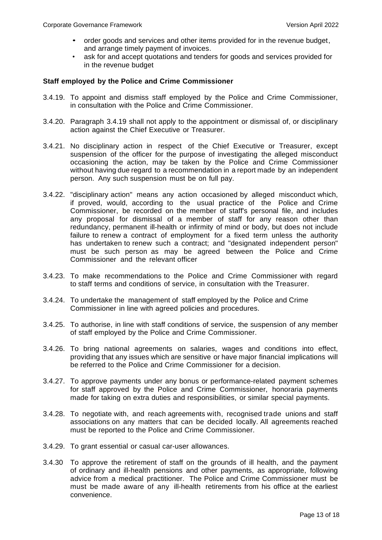- order goods and services and other items provided for in the revenue budget, and arrange timely payment of invoices.
- ask for and accept quotations and tenders for goods and services provided for in the revenue budget

# **Staff employed by the Police and Crime Commissioner**

- 3.4.19. To appoint and dismiss staff employed by the Police and Crime Commissioner, in consultation with the Police and Crime Commissioner.
- 3.4.20. Paragraph 3.4.19 shall not apply to the appointment or dismissal of, or disciplinary action against the Chief Executive or Treasurer.
- 3.4.21. No disciplinary action in respect of the Chief Executive or Treasurer, except suspension of the officer for the purpose of investigating the alleged misconduct occasioning the action, may be taken by the Police and Crime Commissioner without having due regard to a recommendation in a report made by an independent person. Any such suspension must be on full pay.
- 3.4.22. "disciplinary action" means any action occasioned by alleged misconduct which, if proved, would, according to the usual practice of the Police and Crime Commissioner, be recorded on the member of staff's personal file, and includes any proposal for dismissal of a member of staff for any reason other than redundancy, permanent ill-health or infirmity of mind or body, but does not include failure to renew a contract of employment for a fixed term unless the authority has undertaken to renew such a contract; and "designated independent person" must be such person as may be agreed between the Police and Crime Commissioner and the relevant officer
- 3.4.23. To make recommendations to the Police and Crime Commissioner with regard to staff terms and conditions of service, in consultation with the Treasurer.
- 3.4.24. To undertake the management of staff employed by the Police and Crime Commissioner in line with agreed policies and procedures.
- 3.4.25. To authorise, in line with staff conditions of service, the suspension of any member of staff employed by the Police and Crime Commissioner.
- 3.4.26. To bring national agreements on salaries, wages and conditions into effect, providing that any issues which are sensitive or have major financial implications will be referred to the Police and Crime Commissioner for a decision.
- 3.4.27. To approve payments under any bonus or performance-related payment schemes for staff approved by the Police and Crime Commissioner, honoraria payments made for taking on extra duties and responsibilities, or similar special payments.
- 3.4.28. To negotiate with, and reach agreements with, recognised trade unions and staff associations on any matters that can be decided locally. All agreements reached must be reported to the Police and Crime Commissioner.
- 3.4.29. To grant essential or casual car-user allowances.
- 3.4.30 To approve the retirement of staff on the grounds of ill health, and the payment of ordinary and ill-health pensions and other payments, as appropriate, following advice from a medical practitioner. The Police and Crime Commissioner must be must be made aware of any ill-health retirements from his office at the earliest convenience.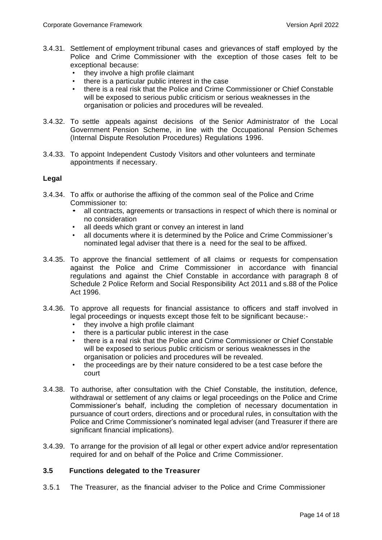- 3.4.31. Settlement of employment tribunal cases and grievances of staff employed by the Police and Crime Commissioner with the exception of those cases felt to be exceptional because:
	- they involve a high profile claimant
	- there is a particular public interest in the case
	- there is a real risk that the Police and Crime Commissioner or Chief Constable will be exposed to serious public criticism or serious weaknesses in the organisation or policies and procedures will be revealed.
- 3.4.32. To settle appeals against decisions of the Senior Administrator of the Local Government Pension Scheme, in line with the Occupational Pension Schemes (Internal Dispute Resolution Procedures) Regulations 1996.
- 3.4.33. To appoint Independent Custody Visitors and other volunteers and terminate appointments if necessary.

# **Legal**

- 3.4.34. To affix or authorise the affixing of the common seal of the Police and Crime Commissioner to:
	- all contracts, agreements or transactions in respect of which there is nominal or no consideration
	- all deeds which grant or convey an interest in land
	- all documents where it is determined by the Police and Crime Commissioner's nominated legal adviser that there is a need for the seal to be affixed.
- 3.4.35. To approve the financial settlement of all claims or requests for compensation against the Police and Crime Commissioner in accordance with financial regulations and against the Chief Constable in accordance with paragraph 8 of Schedule 2 Police Reform and Social Responsibility Act 2011 and s.88 of the Police Act 1996.
- 3.4.36. To approve all requests for financial assistance to officers and staff involved in legal proceedings or inquests except those felt to be significant because:-
	- they involve a high profile claimant
	- there is a particular public interest in the case
	- there is a real risk that the Police and Crime Commissioner or Chief Constable will be exposed to serious public criticism or serious weaknesses in the organisation or policies and procedures will be revealed.
	- the proceedings are by their nature considered to be a test case before the court
- 3.4.38. To authorise, after consultation with the Chief Constable, the institution, defence, withdrawal or settlement of any claims or legal proceedings on the Police and Crime Commissioner's behalf, including the completion of necessary documentation in pursuance of court orders, directions and or procedural rules, in consultation with the Police and Crime Commissioner's nominated legal adviser (and Treasurer if there are significant financial implications).
- 3.4.39. To arrange for the provision of all legal or other expert advice and/or representation required for and on behalf of the Police and Crime Commissioner.

### **3.5 Functions delegated to the Treasurer**

3.5.1 The Treasurer, as the financial adviser to the Police and Crime Commissioner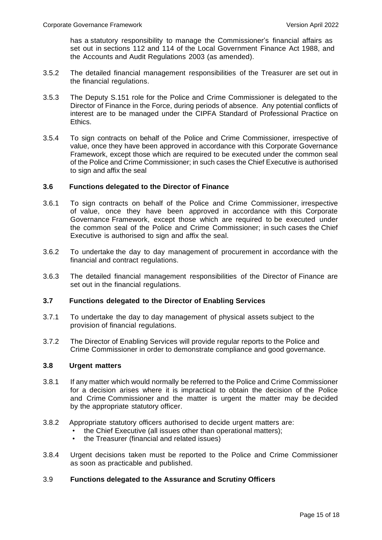has a statutory responsibility to manage the Commissioner's financial affairs as set out in sections 112 and 114 of the Local Government Finance Act 1988, and the Accounts and Audit Regulations 2003 (as amended).

- 3.5.2 The detailed financial management responsibilities of the Treasurer are set out in the financial regulations.
- 3.5.3 The Deputy S.151 role for the Police and Crime Commissioner is delegated to the Director of Finance in the Force, during periods of absence. Any potential conflicts of interest are to be managed under the CIPFA Standard of Professional Practice on Ethics.
- 3.5.4 To sign contracts on behalf of the Police and Crime Commissioner, irrespective of value, once they have been approved in accordance with this Corporate Governance Framework, except those which are required to be executed under the common seal of the Police and Crime Commissioner; in such cases the Chief Executive is authorised to sign and affix the seal

# **3.6 Functions delegated to the Director of Finance**

- 3.6.1 To sign contracts on behalf of the Police and Crime Commissioner, irrespective of value, once they have been approved in accordance with this Corporate Governance Framework, except those which are required to be executed under the common seal of the Police and Crime Commissioner; in such cases the Chief Executive is authorised to sign and affix the seal.
- 3.6.2 To undertake the day to day management of procurement in accordance with the financial and contract regulations.
- 3.6.3 The detailed financial management responsibilities of the Director of Finance are set out in the financial regulations.

### **3.7 Functions delegated to the Director of Enabling Services**

- 3.7.1 To undertake the day to day management of physical assets subject to the provision of financial regulations.
- 3.7.2 The Director of Enabling Services will provide regular reports to the Police and Crime Commissioner in order to demonstrate compliance and good governance.

### **3.8 Urgent matters**

- 3.8.1 If any matter which would normally be referred to the Police and Crime Commissioner for a decision arises where it is impractical to obtain the decision of the Police and Crime Commissioner and the matter is urgent the matter may be decided by the appropriate statutory officer.
- 3.8.2 Appropriate statutory officers authorised to decide urgent matters are:
	- the Chief Executive (all issues other than operational matters);
	- the Treasurer (financial and related issues)
- 3.8.4 Urgent decisions taken must be reported to the Police and Crime Commissioner as soon as practicable and published.

# 3.9 **Functions delegated to the Assurance and Scrutiny Officers**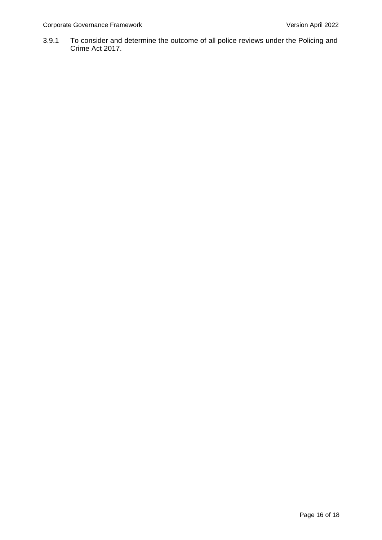3.9.1 To consider and determine the outcome of all police reviews under the Policing and Crime Act 2017.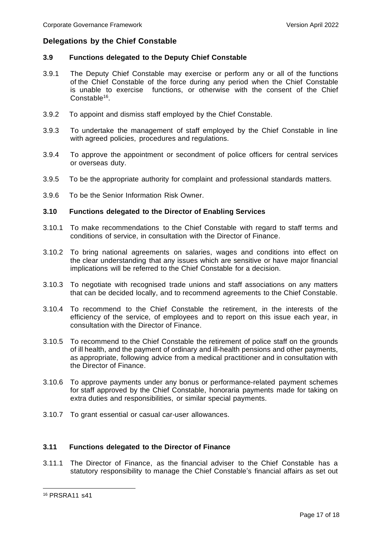# **Delegations by the Chief Constable**

## **3.9 Functions delegated to the Deputy Chief Constable**

- 3.9.1 The Deputy Chief Constable may exercise or perform any or all of the functions of the Chief Constable of the force during any period when the Chief Constable is unable to exercise functions, or otherwise with the consent of the Chief Constable<sup>16</sup>.
- 3.9.2 To appoint and dismiss staff employed by the Chief Constable.
- 3.9.3 To undertake the management of staff employed by the Chief Constable in line with agreed policies, procedures and regulations.
- 3.9.4 To approve the appointment or secondment of police officers for central services or overseas duty.
- 3.9.5 To be the appropriate authority for complaint and professional standards matters.
- 3.9.6 To be the Senior Information Risk Owner.

### **3.10 Functions delegated to the Director of Enabling Services**

- 3.10.1 To make recommendations to the Chief Constable with regard to staff terms and conditions of service, in consultation with the Director of Finance.
- 3.10.2 To bring national agreements on salaries, wages and conditions into effect on the clear understanding that any issues which are sensitive or have major financial implications will be referred to the Chief Constable for a decision.
- 3.10.3 To negotiate with recognised trade unions and staff associations on any matters that can be decided locally, and to recommend agreements to the Chief Constable.
- 3.10.4 To recommend to the Chief Constable the retirement, in the interests of the efficiency of the service, of employees and to report on this issue each year, in consultation with the Director of Finance.
- 3.10.5 To recommend to the Chief Constable the retirement of police staff on the grounds of ill health, and the payment of ordinary and ill-health pensions and other payments, as appropriate, following advice from a medical practitioner and in consultation with the Director of Finance.
- 3.10.6 To approve payments under any bonus or performance-related payment schemes for staff approved by the Chief Constable, honoraria payments made for taking on extra duties and responsibilities, or similar special payments.
- 3.10.7 To grant essential or casual car-user allowances.

### **3.11 Functions delegated to the Director of Finance**

3.11.1 The Director of Finance, as the financial adviser to the Chief Constable has a statutory responsibility to manage the Chief Constable's financial affairs as set out

<sup>16</sup> PRSRA11 s41